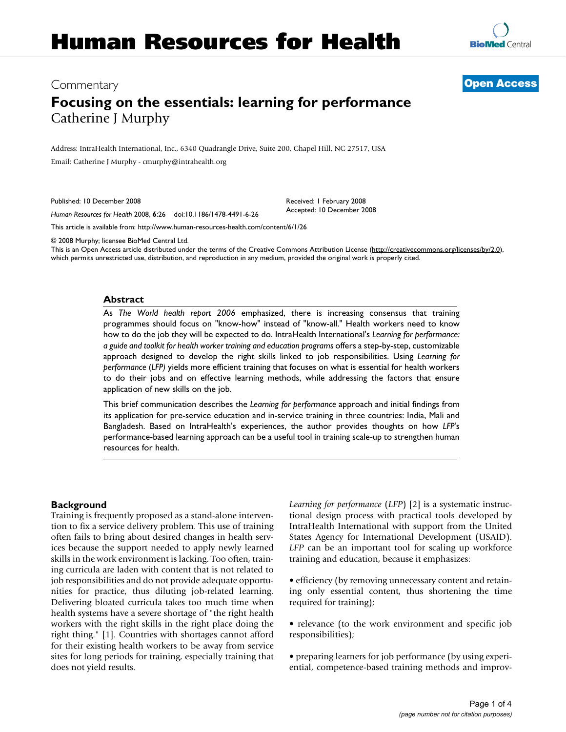# Commentary **[Open Access](http://www.biomedcentral.com/info/about/charter/)**

# **Focusing on the essentials: learning for performance** Catherine J Murphy

Address: IntraHealth International, Inc., 6340 Quadrangle Drive, Suite 200, Chapel Hill, NC 27517, USA Email: Catherine J Murphy - cmurphy@intrahealth.org

Published: 10 December 2008

*Human Resources for Health* 2008, **6**:26 doi:10.1186/1478-4491-6-26

[This article is available from: http://www.human-resources-health.com/content/6/1/26](http://www.human-resources-health.com/content/6/1/26)

© 2008 Murphy; licensee BioMed Central Ltd.

This is an Open Access article distributed under the terms of the Creative Commons Attribution License [\(http://creativecommons.org/licenses/by/2.0\)](http://creativecommons.org/licenses/by/2.0), which permits unrestricted use, distribution, and reproduction in any medium, provided the original work is properly cited.

Received: 1 February 2008 Accepted: 10 December 2008

#### **Abstract**

As *The World health report 2006* emphasized, there is increasing consensus that training programmes should focus on "know-how" instead of "know-all." Health workers need to know how to do the job they will be expected to do. IntraHealth International's *Learning for performance: a guide and toolkit for health worker training and education programs* offers a step-by-step, customizable approach designed to develop the right skills linked to job responsibilities. Using *Learning for performance* (*LFP)* yields more efficient training that focuses on what is essential for health workers to do their jobs and on effective learning methods, while addressing the factors that ensure application of new skills on the job.

This brief communication describes the *Learning for performance* approach and initial findings from its application for pre-service education and in-service training in three countries: India, Mali and Bangladesh. Based on IntraHealth's experiences, the author provides thoughts on how *LFP*'s performance-based learning approach can be a useful tool in training scale-up to strengthen human resources for health.

### **Background**

Training is frequently proposed as a stand-alone intervention to fix a service delivery problem. This use of training often fails to bring about desired changes in health services because the support needed to apply newly learned skills in the work environment is lacking. Too often, training curricula are laden with content that is not related to job responsibilities and do not provide adequate opportunities for practice, thus diluting job-related learning. Delivering bloated curricula takes too much time when health systems have a severe shortage of "the right health workers with the right skills in the right place doing the right thing." [1]. Countries with shortages cannot afford for their existing health workers to be away from service sites for long periods for training, especially training that does not yield results.

*Learning for performance* (*LFP*) [2] is a systematic instructional design process with practical tools developed by IntraHealth International with support from the United States Agency for International Development (USAID). *LFP* can be an important tool for scaling up workforce training and education, because it emphasizes:

• efficiency (by removing unnecessary content and retaining only essential content, thus shortening the time required for training);

• relevance (to the work environment and specific job responsibilities);

• preparing learners for job performance (by using experiential, competence-based training methods and improv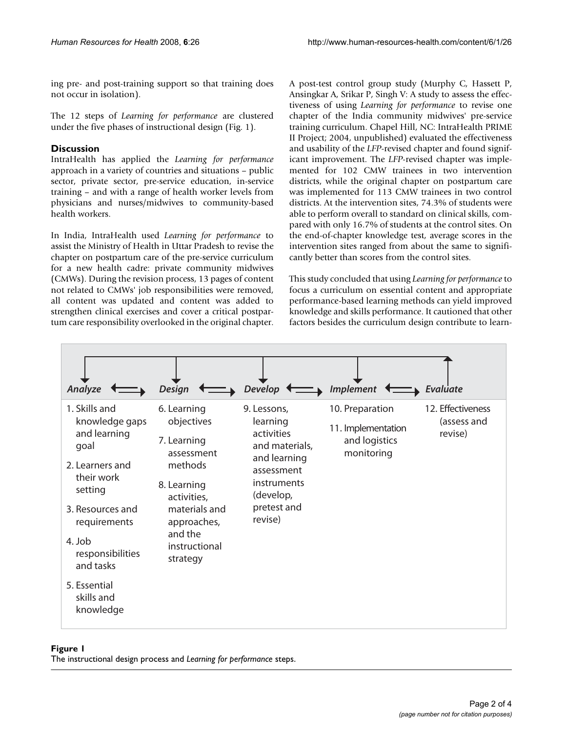ing pre- and post-training support so that training does not occur in isolation).

The 12 steps of *Learning for performance* are clustered under the five phases of instructional design (Fig. 1).

### **Discussion**

IntraHealth has applied the *Learning for performance* approach in a variety of countries and situations – public sector, private sector, pre-service education, in-service training – and with a range of health worker levels from physicians and nurses/midwives to community-based health workers.

In India, IntraHealth used *Learning for performance* to assist the Ministry of Health in Uttar Pradesh to revise the chapter on postpartum care of the pre-service curriculum for a new health cadre: private community midwives (CMWs). During the revision process, 13 pages of content not related to CMWs' job responsibilities were removed, all content was updated and content was added to strengthen clinical exercises and cover a critical postpartum care responsibility overlooked in the original chapter. A post-test control group study (Murphy C, Hassett P, Ansingkar A, Srikar P, Singh V: A study to assess the effectiveness of using *Learning for performance* to revise one chapter of the India community midwives' pre-service training curriculum. Chapel Hill, NC: IntraHealth PRIME II Project; 2004, unpublished) evaluated the effectiveness and usability of the *LFP*-revised chapter and found significant improvement. The *LFP*-revised chapter was implemented for 102 CMW trainees in two intervention districts, while the original chapter on postpartum care was implemented for 113 CMW trainees in two control districts. At the intervention sites, 74.3% of students were able to perform overall to standard on clinical skills, compared with only 16.7% of students at the control sites. On the end-of-chapter knowledge test, average scores in the intervention sites ranged from about the same to significantly better than scores from the control sites.

This study concluded that using *Learning for performance* to focus a curriculum on essential content and appropriate performance-based learning methods can yield improved knowledge and skills performance. It cautioned that other factors besides the curriculum design contribute to learn-



### Figure 1

The instructional design process and *Learning for performance* steps.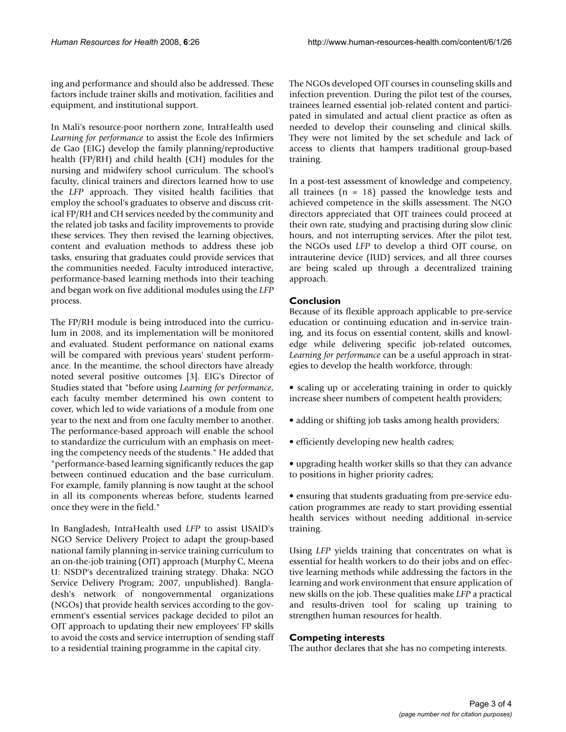ing and performance and should also be addressed. These factors include trainer skills and motivation, facilities and equipment, and institutional support.

In Mali's resource-poor northern zone, IntraHealth used *Learning for performance* to assist the Ecole des Infirmiers de Gao (EIG) develop the family planning/reproductive health (FP/RH) and child health (CH) modules for the nursing and midwifery school curriculum. The school's faculty, clinical trainers and directors learned how to use the *LFP* approach. They visited health facilities that employ the school's graduates to observe and discuss critical FP/RH and CH services needed by the community and the related job tasks and facility improvements to provide these services. They then revised the learning objectives, content and evaluation methods to address these job tasks, ensuring that graduates could provide services that the communities needed. Faculty introduced interactive, performance-based learning methods into their teaching and began work on five additional modules using the *LFP* process.

The FP/RH module is being introduced into the curriculum in 2008, and its implementation will be monitored and evaluated. Student performance on national exams will be compared with previous years' student performance. In the meantime, the school directors have already noted several positive outcomes [3]. EIG's Director of Studies stated that "before using *Learning for performance*, each faculty member determined his own content to cover, which led to wide variations of a module from one year to the next and from one faculty member to another. The performance-based approach will enable the school to standardize the curriculum with an emphasis on meeting the competency needs of the students." He added that "performance-based learning significantly reduces the gap between continued education and the base curriculum. For example, family planning is now taught at the school in all its components whereas before, students learned once they were in the field."

In Bangladesh, IntraHealth used *LFP* to assist USAID's NGO Service Delivery Project to adapt the group-based national family planning in-service training curriculum to an on-the-job training (OJT) approach (Murphy C, Meena U: NSDP's decentralized training strategy. Dhaka: NGO Service Delivery Program; 2007, unpublished). Bangladesh's network of nongovernmental organizations (NGOs) that provide health services according to the government's essential services package decided to pilot an OJT approach to updating their new employees' FP skills to avoid the costs and service interruption of sending staff to a residential training programme in the capital city.

The NGOs developed OJT courses in counseling skills and infection prevention. During the pilot test of the courses, trainees learned essential job-related content and participated in simulated and actual client practice as often as needed to develop their counseling and clinical skills. They were not limited by the set schedule and lack of access to clients that hampers traditional group-based training.

In a post-test assessment of knowledge and competency, all trainees  $(n = 18)$  passed the knowledge tests and achieved competence in the skills assessment. The NGO directors appreciated that OJT trainees could proceed at their own rate, studying and practising during slow clinic hours, and not interrupting services. After the pilot test, the NGOs used *LFP* to develop a third OJT course, on intrauterine device (IUD) services, and all three courses are being scaled up through a decentralized training approach.

## **Conclusion**

Because of its flexible approach applicable to pre-service education or continuing education and in-service training, and its focus on essential content, skills and knowledge while delivering specific job-related outcomes, *Learning for performance* can be a useful approach in strategies to develop the health workforce, through:

- scaling up or accelerating training in order to quickly increase sheer numbers of competent health providers;
- adding or shifting job tasks among health providers;
- efficiently developing new health cadres;
- upgrading health worker skills so that they can advance to positions in higher priority cadres;

• ensuring that students graduating from pre-service education programmes are ready to start providing essential health services without needing additional in-service training.

Using *LFP* yields training that concentrates on what is essential for health workers to do their jobs and on effective learning methods while addressing the factors in the learning and work environment that ensure application of new skills on the job. These qualities make *LFP* a practical and results-driven tool for scaling up training to strengthen human resources for health.

### **Competing interests**

The author declares that she has no competing interests.